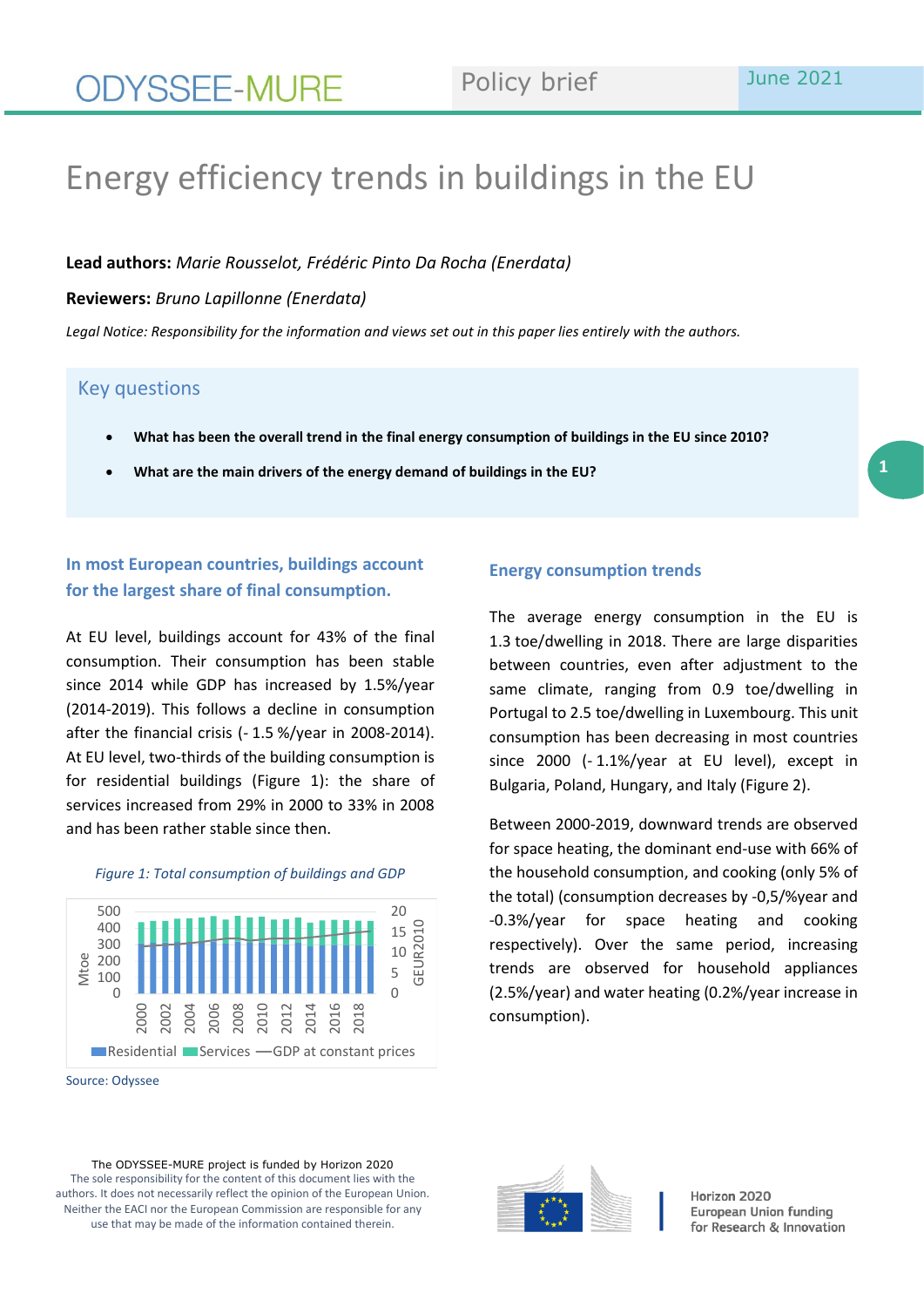# Energy efficiency trends in buildings in the EU

**Lead authors:** *Marie Rousselot, Frédéric Pinto Da Rocha (Enerdata)*

**Reviewers:** *Bruno Lapillonne (Enerdata)*

*Legal Notice: Responsibility for the information and views set out in this paper lies entirely with the authors.*

## Key questions

- **What has been the overall trend in the final energy consumption of buildings in the EU since 2010?**
- **What are the main drivers of the energy demand of buildings in the EU?**

## **In most European countries, buildings account for the largest share of final consumption.**

At EU level, buildings account for 43% of the final consumption. Their consumption has been stable since 2014 while GDP has increased by 1.5%/year (2014-2019). This follows a decline in consumption after the financial crisis (- 1.5 %/year in 2008-2014). At EU level, two-thirds of the building consumption is for residential buildings (Figure 1): the share of services increased from 29% in 2000 to 33% in 2008 and has been rather stable since then.



### *Figure 1: Total consumption of buildings and GDP*

Source: Odyssee

## **Energy consumption trends**

The average energy consumption in the EU is 1.3 toe/dwelling in 2018. There are large disparities between countries, even after adjustment to the same climate, ranging from 0.9 toe/dwelling in Portugal to 2.5 toe/dwelling in Luxembourg. This unit consumption has been decreasing in most countries since 2000 (- 1.1%/year at EU level), except in Bulgaria, Poland, Hungary, and Italy (Figure 2).

Between 2000-2019, downward trends are observed for space heating, the dominant end-use with 66% of the household consumption, and cooking (only 5% of the total) (consumption decreases by -0,5/%year and -0.3%/year for space heating and cooking respectively). Over the same period, increasing trends are observed for household appliances (2.5%/year) and water heating (0.2%/year increase in consumption).



Horizon 2020 European Union funding for Research & Innovation

The ODYSSEE-MURE project is funded by Horizon 2020 The sole responsibility for the content of this document lies with the authors. It does not necessarily reflect the opinion of the European Union. Neither the EACI nor the European Commission are responsible for any use that may be made of the information contained therein.

**1**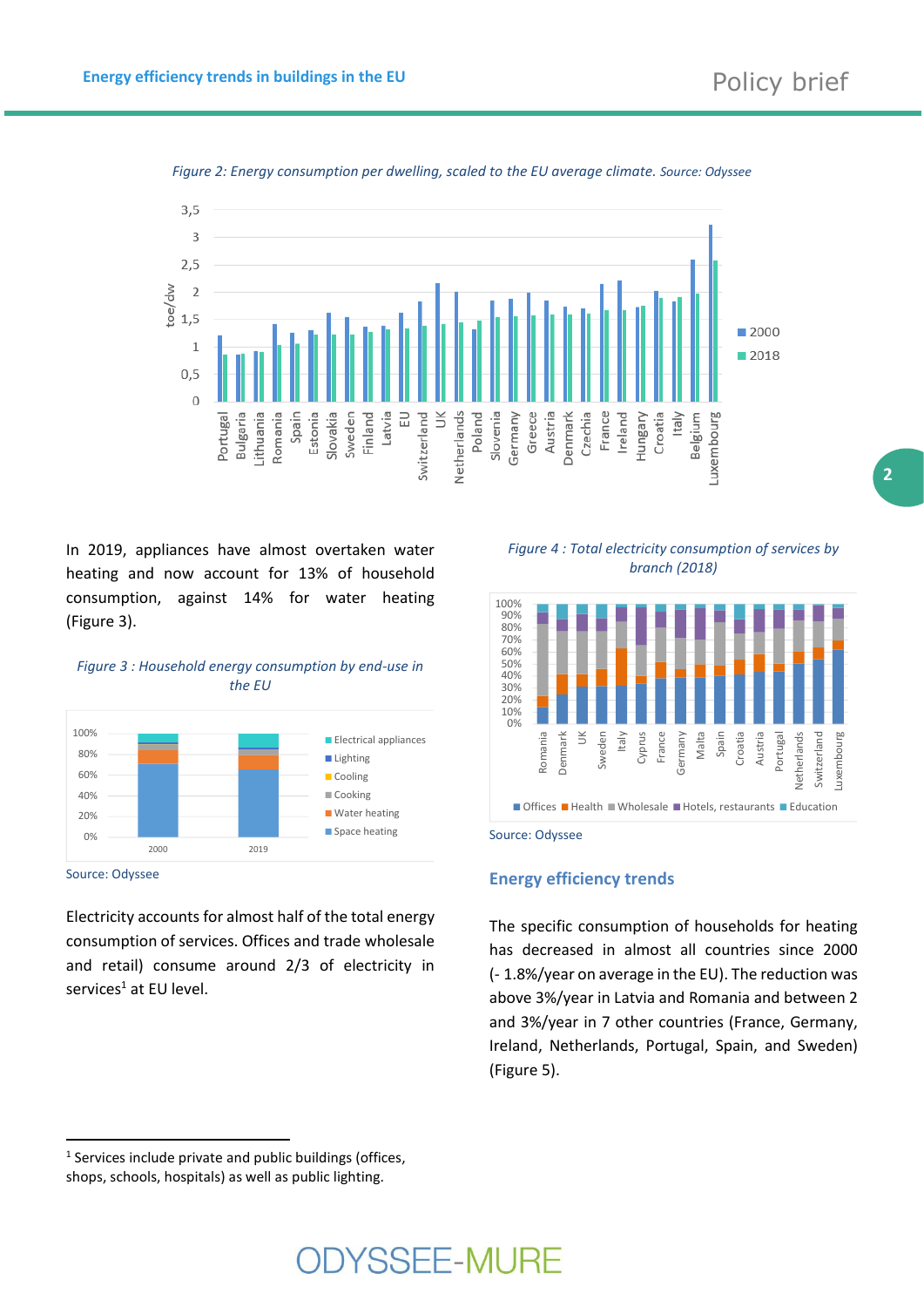**2**



*Figure 2: Energy consumption per dwelling, scaled to the EU average climate. Source: Odyssee*

In 2019, appliances have almost overtaken water heating and now account for 13% of household consumption, against 14% for water heating (Figure 3).

*Figure 3 : Household energy consumption by end-use in the EU*



Source: Odyssee

Electricity accounts for almost half of the total energy consumption of services. Offices and trade wholesale and retail) consume around 2/3 of electricity in services<sup>1</sup> at EU level.

*Figure 4 : Total electricity consumption of services by branch (2018)*



Source: Odyssee

### **Energy efficiency trends**

The specific consumption of households for heating has decreased in almost all countries since 2000 (- 1.8%/year on average in the EU). The reduction was above 3%/year in Latvia and Romania and between 2 and 3%/year in 7 other countries (France, Germany, Ireland, Netherlands, Portugal, Spain, and Sweden) (Figure 5).

<sup>&</sup>lt;sup>1</sup> Services include private and public buildings (offices, shops, schools, hospitals) as well as public lighting.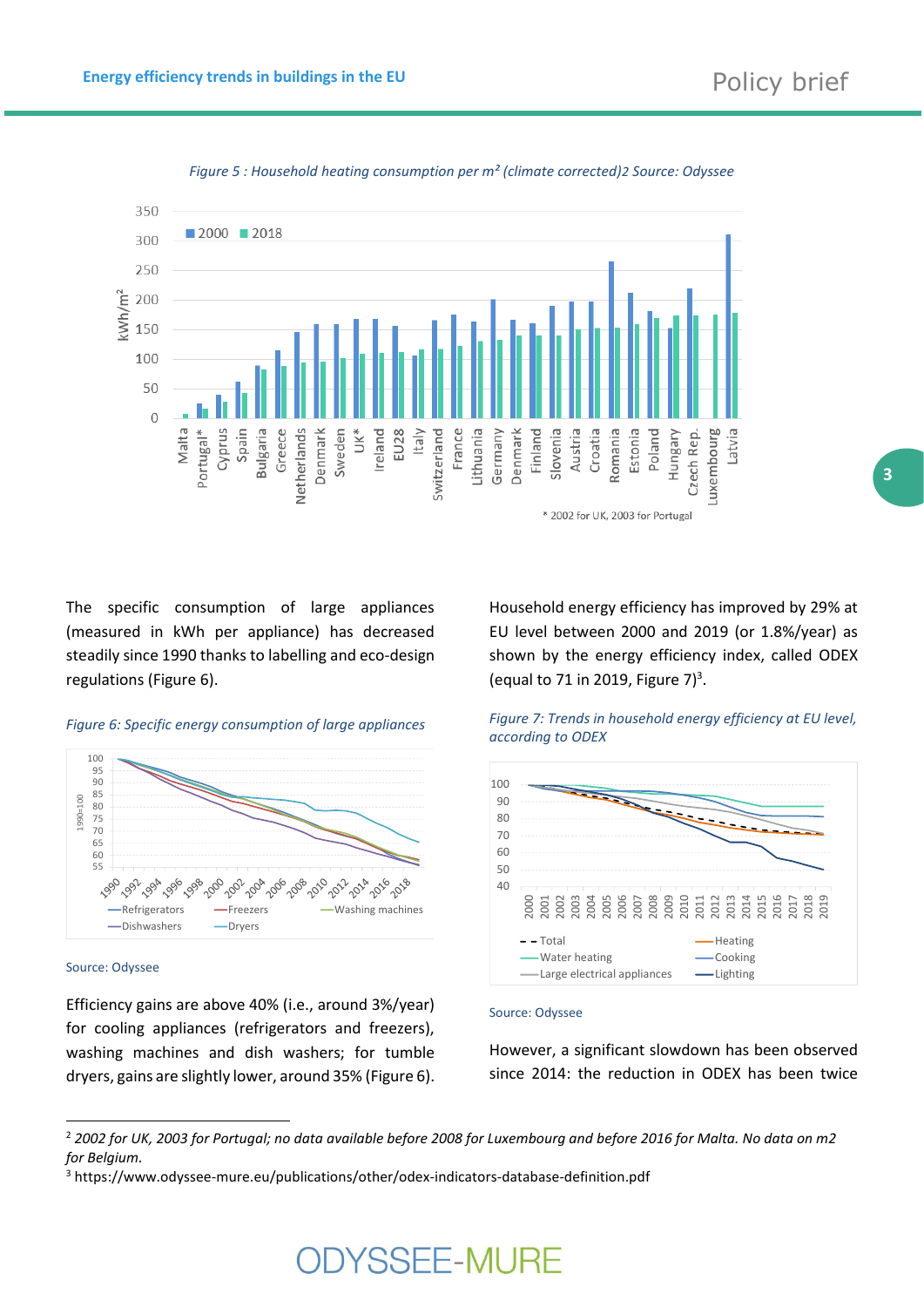

*Figure 5 : Household heating consumption per m² (climate corrected)2 Source: Odyssee*

The specific consumption of large appliances (measured in kWh per appliance) has decreased steadily since 1990 thanks to labelling and eco-design regulations (Figure 6).

## *Figure 6: Specific energy consumption of large appliances*



Source: Odyssee

Efficiency gains are above 40% (i.e., around 3%/year) for cooling appliances (refrigerators and freezers), washing machines and dish washers; for tumble dryers, gains are slightly lower, around 35% (Figure 6). Household energy efficiency has improved by 29% at EU level between 2000 and 2019 (or 1.8%/year) as shown by the energy efficiency index, called ODEX (equal to 71 in 2019, Figure  $7)^3$ .



## *Figure 7: Trends in household energy efficiency at EU level, according to ODEX*

#### Source: Odyssee

However, a significant slowdown has been observed since 2014: the reduction in ODEX has been twice

# **DIYSSEE-MURE**

<sup>2</sup> *2002 for UK, 2003 for Portugal; no data available before 2008 for Luxembourg and before 2016 for Malta. No data on m2 for Belgium.*

<sup>3</sup> https://www.odyssee-mure.eu/publications/other/odex-indicators-database-definition.pdf